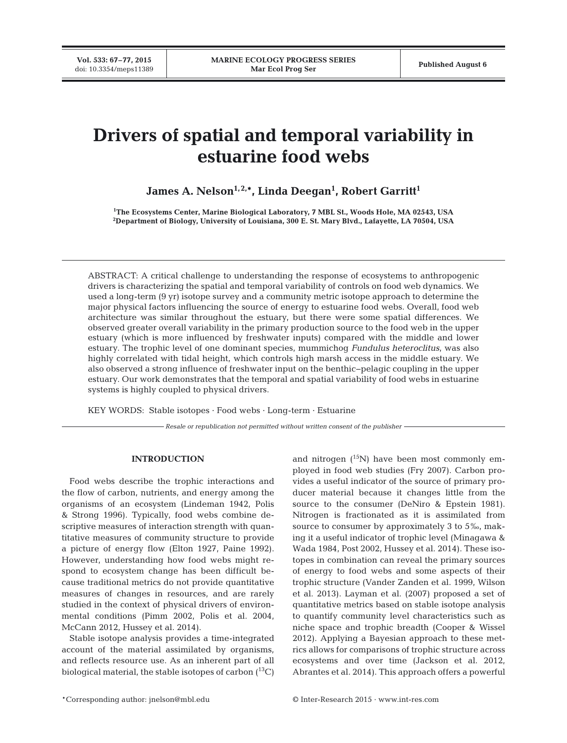**Vol. 533: 67–77, 2015**

# **Drivers of spatial and temporal variability in estuarine food webs**

James A. Nelson<sup>1,2,</sup>\*, Linda Deegan<sup>1</sup>, Robert Garritt<sup>1</sup>

**1 The Ecosystems Center, Marine Biological Laboratory, 7 MBL St., Woods Hole, MA 02543, USA 2 Department of Biology, University of Louisiana, 300 E. St. Mary Blvd., Lafayette, LA 70504, USA**

ABSTRACT: A critical challenge to understanding the response of ecosystems to anthropogenic drivers is characterizing the spatial and temporal variability of controls on food web dynamics. We used a long-term (9 yr) isotope survey and a community metric isotope approach to determine the major physical factors influencing the source of energy to estuarine food webs. Overall, food web architecture was similar throughout the estuary, but there were some spatial differences. We observed greater overall variability in the primary production source to the food web in the upper estuary (which is more influenced by freshwater inputs) compared with the middle and lower estuary. The trophic level of one dominant species, mummichog *Fundulus heteroclitus*, was also highly correlated with tidal height, which controls high marsh access in the middle estuary. We also observed a strong influence of freshwater input on the benthic−pelagic coupling in the upper estuary. Our work demonstrates that the temporal and spatial variability of food webs in estuarine systems is highly coupled to physical drivers.

KEY WORDS: Stable isotopes · Food webs · Long-term · Estuarine

*Resale or republication not permitted without written consent of the publisher*

# **INTRODUCTION**

Food webs describe the trophic interactions and the flow of carbon, nutrients, and energy among the organisms of an ecosystem (Lindeman 1942, Polis & Strong 1996). Typically, food webs combine de scriptive measures of interaction strength with quantitative measures of community structure to provide a picture of energy flow (Elton 1927, Paine 1992). However, understanding how food webs might respond to ecosystem change has been difficult be cause traditional metrics do not provide quantitative measures of changes in resources, and are rarely studied in the context of physical drivers of environmental conditions (Pimm 2002, Polis et al. 2004, McCann 2012, Hussey et al. 2014).

Stable isotope analysis provides a time-integrated account of the material assimilated by organisms, and reflects resource use. As an inherent part of all biological material, the stable isotopes of carbon  $(^{13}C)$  and nitrogen  $(^{15}N)$  have been most commonly employed in food web studies (Fry 2007). Carbon provides a useful indicator of the source of primary producer material because it changes little from the source to the consumer (DeNiro & Epstein 1981). Nitrogen is fractionated as it is assimilated from source to consumer by approximately 3 to 5‰, making it a useful indicator of trophic level (Minagawa & Wada 1984, Post 2002, Hussey et al. 2014). These isotopes in combination can reveal the primary sources of energy to food webs and some aspects of their trophic structure (Vander Zanden et al. 1999, Wilson et al. 2013). Layman et al. (2007) proposed a set of quantitative metrics based on stable isotope analysis to quantify community level characteristics such as niche space and trophic breadth (Cooper & Wissel 2012). Applying a Bayesian approach to these metrics allows for comparisons of trophic structure across ecosystems and over time (Jackson et al. 2012, Abrantes et al. 2014). This approach offers a powerful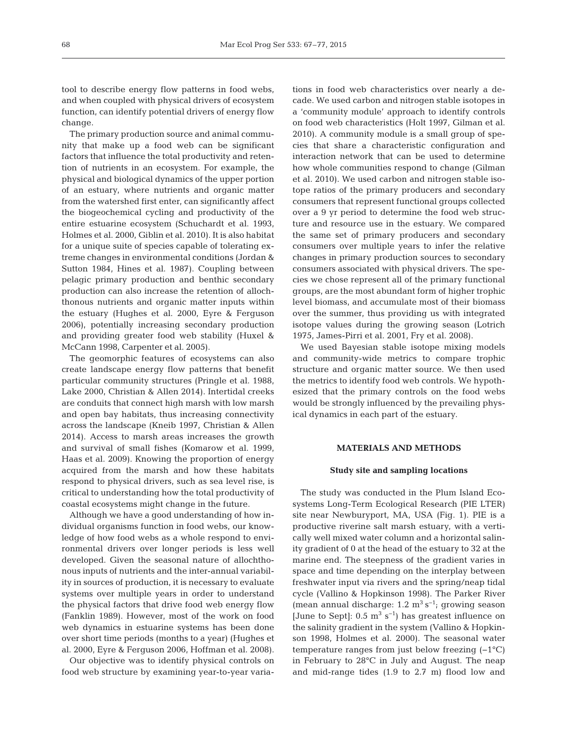tool to describe energy flow patterns in food webs, and when coupled with physical drivers of ecosystem function, can identify potential drivers of energy flow change.

The primary production source and animal community that make up a food web can be significant factors that influence the total productivity and retention of nutrients in an ecosystem. For example, the physical and biological dynamics of the upper portion of an estuary, where nutrients and organic matter from the watershed first enter, can significantly affect the biogeochemical cycling and productivity of the entire estuarine ecosystem (Schuchardt et al. 1993, Holmes et al. 2000, Giblin et al. 2010). It is also habitat for a unique suite of species capable of tolerating extreme changes in environmental conditions (Jordan & Sutton 1984, Hines et al. 1987). Coupling between pelagic primary production and benthic secondary production can also increase the retention of allochthonous nutrients and organic matter inputs within the estuary (Hughes et al. 2000, Eyre & Ferguson 2006), potentially increasing secondary production and providing greater food web stability (Huxel & McCann 1998, Carpenter et al. 2005).

The geomorphic features of ecosystems can also create landscape energy flow patterns that benefit particular community structures (Pringle et al. 1988, Lake 2000, Christian & Allen 2014). Intertidal creeks are conduits that connect high marsh with low marsh and open bay habitats, thus increasing connectivity across the landscape (Kneib 1997, Christian & Allen 2014). Access to marsh areas increases the growth and survival of small fishes (Komarow et al. 1999, Haas et al. 2009). Knowing the proportion of energy acquired from the marsh and how these habitats respond to physical drivers, such as sea level rise, is critical to understanding how the total productivity of coastal ecosystems might change in the future.

Although we have a good understanding of how individual organisms function in food webs, our knowledge of how food webs as a whole respond to environmental drivers over longer periods is less well developed. Given the seasonal nature of allochthonous inputs of nutrients and the inter-annual variability in sources of production, it is necessary to evaluate systems over multiple years in order to understand the physical factors that drive food web energy flow (Fanklin 1989). However, most of the work on food web dynamics in estuarine systems has been done over short time periods (months to a year) (Hughes et al. 2000, Eyre & Ferguson 2006, Hoffman et al. 2008).

Our objective was to identify physical controls on food web structure by examining year-to-year variations in food web characteristics over nearly a decade. We used carbon and nitrogen stable isotopes in a 'community module' approach to identify controls on food web characteristics (Holt 1997, Gilman et al. 2010). A community module is a small group of species that share a characteristic configuration and interaction network that can be used to determine how whole communities respond to change (Gilman et al. 2010). We used carbon and nitrogen stable isotope ratios of the primary producers and secondary consumers that represent functional groups collected over a 9 yr period to determine the food web structure and resource use in the estuary. We compared the same set of primary producers and secondary consumers over multiple years to infer the relative changes in primary production sources to secondary consumers associated with physical drivers. The species we chose represent all of the primary functional groups, are the most abundant form of higher trophic level biomass, and accumulate most of their biomass over the summer, thus providing us with integrated isotope values during the growing season (Lotrich 1975, James-Pirri et al. 2001, Fry et al. 2008).

We used Bayesian stable isotope mixing models and community-wide metrics to compare trophic structure and organic matter source. We then used the metrics to identify food web controls. We hypothesized that the primary controls on the food webs would be strongly influenced by the prevailing physical dynamics in each part of the estuary.

## **MATERIALS AND METHODS**

#### **Study site and sampling locations**

The study was conducted in the Plum Island Ecosystems Long-Term Ecological Research (PIE LTER) site near Newburyport, MA, USA (Fig. 1). PIE is a productive riverine salt marsh estuary, with a vertically well mixed water column and a horizontal salinity gradient of 0 at the head of the estuary to 32 at the marine end. The steepness of the gradient varies in space and time depending on the interplay between freshwater input via rivers and the spring/neap tidal cycle (Vallino & Hopkinson 1998). The Parker River (mean annual discharge:  $1.2 \text{ m}^3 \text{ s}^{-1}$ ; growing season [June to Sept]:  $0.5 \text{ m}^3 \text{ s}^{-1}$ ] has greatest influence on the salinity gradient in the system (Vallino & Hopkinson 1998, Holmes et al. 2000). The seasonal water temperature ranges from just below freezing (−1°C) in February to 28°C in July and August. The neap and mid-range tides (1.9 to 2.7 m) flood low and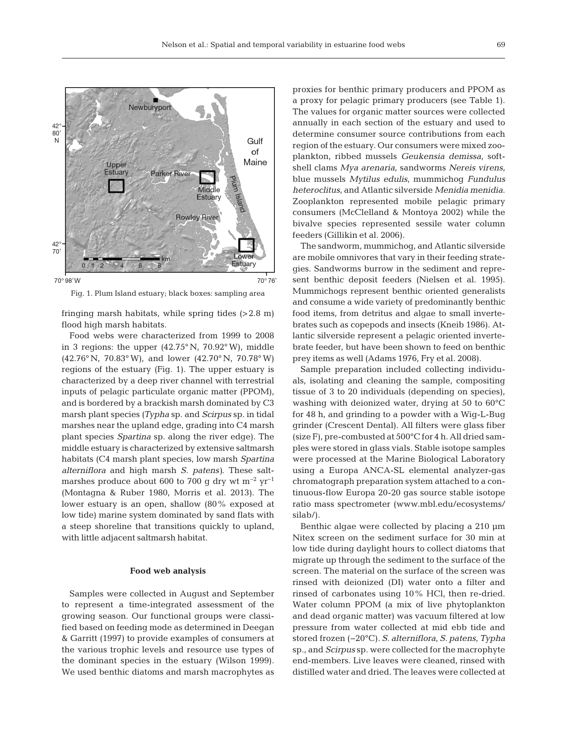

Fig. 1. Plum Island estuary; black boxes: sampling area

fringing marsh habitats, while spring tides  $(>2.8 \text{ m})$ flood high marsh habitats.

Food webs were characterized from 1999 to 2008 in 3 regions: the upper (42.75° N, 70.92° W), middle (42.76° N, 70.83° W), and lower (42.70° N, 70.78° W) regions of the estuary (Fig. 1). The upper estuary is characterized by a deep river channel with terrestrial inputs of pelagic particulate organic matter (PPOM), and is bordered by a brackish marsh dominated by C3 marsh plant species *(Typha* sp. and *Scirpus* sp. in tidal marshes near the upland edge, grading into C4 marsh plant species *Spartina* sp. along the river edge). The middle estuary is characterized by extensive saltmarsh habitats (C4 marsh plant species, low marsh *Spartina alterniflora* and high marsh *S. patens)*. These saltmarshes produce about 600 to 700 g dry wt m<sup>-2</sup> yr<sup>-1</sup> (Montagna & Ruber 1980, Morris et al. 2013). The lower estuary is an open, shallow (80% exposed at low tide) marine system dominated by sand flats with a steep shoreline that transitions quickly to upland, with little adjacent saltmarsh habitat.

## **Food web analysis**

Samples were collected in August and September to represent a time-integrated assessment of the growing season. Our functional groups were classified based on feeding mode as determined in Deegan & Garritt (1997) to provide examples of consumers at the various trophic levels and resource use types of the dominant species in the estuary (Wilson 1999). We used benthic diatoms and marsh macrophytes as proxies for benthic primary producers and PPOM as a proxy for pelagic primary producers (see Table 1). The values for organic matter sources were collected annually in each section of the estuary and used to determine consumer source contributions from each region of the estuary. Our consumers were mixed zooplankton, ribbed mussels *Geukensia demissa*, softshell clams *Mya arenaria*, sandworms *Nereis virens*, blue mussels *Mytilus edulis*, mummichog *Fundulus heteroclitus*, and Atlantic silverside *Menidia menidia*. Zooplankton represented mobile pelagic primary consumers (McClelland & Montoya 2002) while the bivalve species represented sessile water column feeders (Gillikin et al. 2006).

The sandworm, mummichog, and Atlantic silverside are mobile omnivores that vary in their feeding strategies. Sandworms burrow in the sediment and represent benthic deposit feeders (Nielsen et al. 1995). Mummichogs represent benthic oriented generalists and consume a wide variety of predominantly benthic food items, from detritus and algae to small invertebrates such as copepods and insects (Kneib 1986). Atlantic silverside represent a pelagic oriented invertebrate feeder, but have been shown to feed on benthic prey items as well (Adams 1976, Fry et al. 2008).

Sample preparation included collecting individuals, isolating and cleaning the sample, compositing tissue of 3 to 20 individuals (depending on species), washing with deionized water, drying at 50 to 60°C for 48 h, and grinding to a powder with a Wig-L-Bug grinder (Crescent Dental). All filters were glass fiber (size F), pre-combusted at 500°C for 4 h. All dried samples were stored in glass vials. Stable isotope samples were processed at the Marine Biological Laboratory using a Europa ANCA-SL elemental analyzer-gas chromatograph preparation system attached to a continuous-flow Europa 20-20 gas source stable isotope ratio mass spectrometer (www.mbl.edu/ecosystems/ silab/).

Benthic algae were collected by placing a 210  $\mu$ m Nitex screen on the sediment surface for 30 min at low tide during daylight hours to collect diatoms that migrate up through the sediment to the surface of the screen. The material on the surface of the screen was rinsed with deionized (DI) water onto a filter and rinsed of carbonates using 10% HCl, then re-dried. Water column PPOM (a mix of live phytoplankton and dead organic matter) was vacuum filtered at low pressure from water collected at mid ebb tide and stored frozen (−20°C). *S. alterniflora*, *S. patens, Ty pha* sp., and *Scirpus* sp. were collected for the macrophyte end-members. Live leaves were cleaned, rinsed with distilled water and dried. The leaves were collected at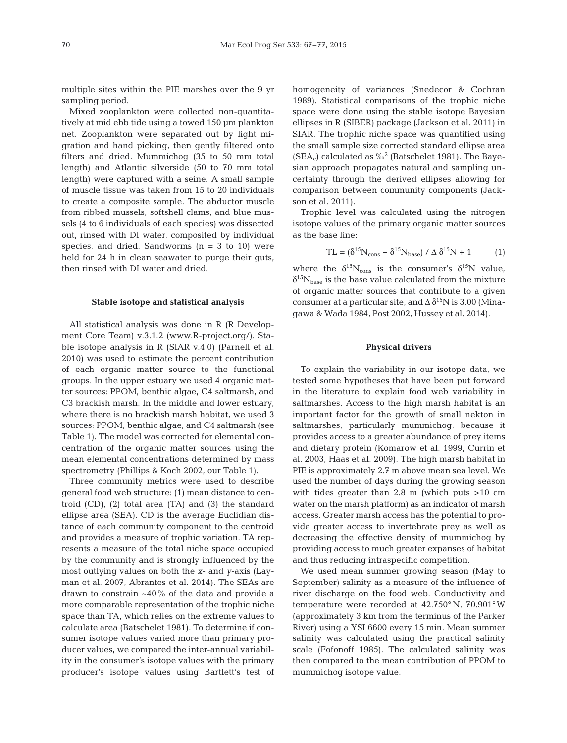multiple sites within the PIE marshes over the 9 yr sampling period.

Mixed zooplankton were collected non-quantitatively at mid ebb tide using a towed 150 µm plankton net. Zooplankton were separated out by light migration and hand picking, then gently filtered onto filters and dried. Mummichog (35 to 50 mm total length) and Atlantic silverside (50 to 70 mm total length) were captured with a seine. A small sample of muscle tissue was taken from 15 to 20 individuals to create a composite sample. The abductor muscle from ribbed mussels, softshell clams, and blue mussels (4 to 6 individuals of each species) was dissected out, rinsed with DI water, composited by individual species, and dried. Sandworms  $(n = 3$  to 10) were held for 24 h in clean seawater to purge their guts, then rinsed with DI water and dried.

# **Stable isotope and statistical analysis**

All statistical analysis was done in R (R Development Core Team) v.3.1.2 (www.R-project.org/). Stable isotope analysis in R (SIAR v.4.0) (Parnell et al. 2010) was used to estimate the percent contribution of each organic matter source to the functional groups. In the upper estuary we used 4 organic matter sources: PPOM, benthic algae, C4 saltmarsh, and C3 brackish marsh. In the middle and lower estuary, where there is no brackish marsh habitat, we used 3 sources; PPOM, benthic algae, and C4 saltmarsh (see Table 1). The model was corrected for elemental concentration of the organic matter sources using the mean elemental concentrations determined by mass spectrometry (Phillips & Koch 2002, our Table 1).

Three community metrics were used to describe general food web structure: (1) mean distance to centroid (CD), (2) total area (TA) and (3) the standard ellipse area (SEA). CD is the average Euclidian distance of each community component to the centroid and provides a measure of trophic variation. TA represents a measure of the total niche space occupied by the community and is strongly influenced by the most outlying values on both the *x*- and *y*-axis (Layman et al. 2007, Abrantes et al. 2014). The SEAs are drawn to constrain ~40% of the data and provide a more comparable representation of the trophic niche space than TA, which relies on the extreme values to calculate area (Batschelet 1981). To determine if consumer isotope values varied more than primary producer values, we compared the inter-annual variability in the consumer's isotope values with the primary producer's isotope values using Bartlett's test of

homogeneity of variances (Snedecor & Cochran 1989). Statistical comparisons of the trophic niche space were done using the stable isotope Bayesian ellipses in R (SIBER) package (Jackson et al. 2011) in SIAR. The trophic niche space was quantified using the small sample size corrected standard ellipse area  $(SEA_c)$  calculated as ‰<sup>2</sup> (Batschelet 1981). The Bayesian approach propagates natural and sampling uncertainty through the derived ellipses allowing for comparison between community components (Jackson et al. 2011).

Trophic level was calculated using the nitrogen isotope values of the primary organic matter sources as the base line:

$$
TL = (\delta^{15}N_{\text{cons}} - \delta^{15}N_{\text{base}}) / \Delta \delta^{15}N + 1
$$
 (1)

where the  $\delta^{15}N_{cons}$  is the consumer's  $\delta^{15}N$  value,  $\delta^{15}\rm{N}_{\rm{base}}$  is the base value calculated from the mixture of organic matter sources that contribute to a given consumer at a particular site, and  $\Delta \delta^{15}$ N is 3.00 (Minagawa & Wada 1984, Post 2002, Hussey et al. 2014).

#### **Physical drivers**

To explain the variability in our isotope data, we tested some hypotheses that have been put forward in the literature to explain food web variability in saltmarshes. Access to the high marsh habitat is an important factor for the growth of small nekton in saltmarshes, particularly mummichog, because it provides access to a greater abundance of prey items and dietary protein (Komarow et al. 1999, Currin et al. 2003, Haas et al. 2009). The high marsh habitat in PIE is approximately 2.7 m above mean sea level. We used the number of days during the growing season with tides greater than 2.8 m (which puts >10 cm water on the marsh platform) as an indicator of marsh access. Greater marsh access has the potential to provide greater access to invertebrate prey as well as decreasing the effective density of mummichog by providing access to much greater expanses of habitat and thus reducing intraspecific competition.

We used mean summer growing season (May to September) salinity as a measure of the influence of river discharge on the food web. Conductivity and temperature were recorded at 42.750° N, 70.901°W (approximately 3 km from the terminus of the Parker River) using a YSI 6600 every 15 min. Mean summer salinity was calculated using the practical salinity scale (Fofonoff 1985). The calculated salinity was then compared to the mean contribution of PPOM to mummichog isotope value.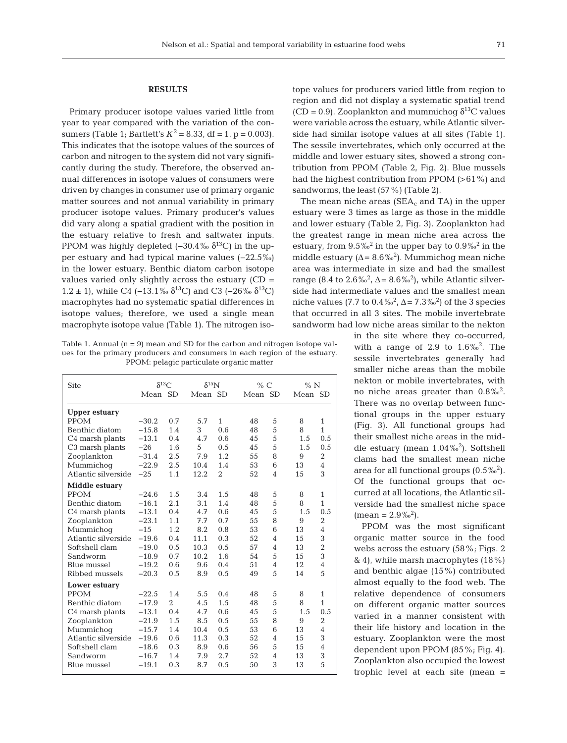## **RESULTS**

Primary producer isotope values varied little from year to year compared with the variation of the consumers (Table 1; Bartlett's  $K^2 = 8.33$ , df = 1, p = 0.003). This indicates that the isotope values of the sources of carbon and nitrogen to the system did not vary significantly during the study. Therefore, the observed annual differences in isotope values of consumers were driven by changes in consumer use of primary organic matter sources and not annual variability in primary producer isotope values. Primary producer's values did vary along a spatial gradient with the position in the estuary relative to fresh and saltwater inputs. PPOM was highly depleted  $(-30.4\% \delta^{13})$  in the upper estuary and had typical marine values (−22.5‰) in the lower estuary. Benthic diatom carbon isotope values varied only slightly across the estuary (CD = 1.2 ± 1), while C4 (−13.1‰  $\delta^{13}$ C) and C3 (−26‰  $\delta^{13}$ C) macrophytes had no systematic spatial differences in isotope values; therefore, we used a single mean macrophyte isotope value (Table 1). The nitrogen iso-

Table 1. Annual  $(n = 9)$  mean and SD for the carbon and nitrogen isotope values for the primary producers and consumers in each region of the estuary. PPOM: pelagic particulate organic matter

| <b>Site</b>                 | $\delta^{13}$ C |                | $\delta^{15}$ N |                | % C |                | % N |                |  |
|-----------------------------|-----------------|----------------|-----------------|----------------|-----|----------------|-----|----------------|--|
|                             | Mean SD         |                |                 | Mean SD        |     | Mean SD        |     | Mean SD        |  |
| <b>Upper estuary</b>        |                 |                |                 |                |     |                |     |                |  |
| <b>PPOM</b>                 | $-30.2$         | 0.7            | 5.7             | 1              | 48  | 5              | 8   | 1              |  |
| Benthic diatom              | $-15.8$         | 1.4            | 3               | 0.6            | 48  | 5              | 8   | $\mathbf{1}$   |  |
| C4 marsh plants             | $-13.1$         | 0.4            | 4.7             | 0.6            | 45  | 5              | 1.5 | 0.5            |  |
| C <sub>3</sub> marsh plants | $-26$           | 1.6            | 5               | 0.5            | 45  | 5              | 1.5 | 0.5            |  |
| Zooplankton                 | $-31.4$         | 2.5            | 7.9             | 1.2            | 55  | 8              | 9   | $\overline{2}$ |  |
| Mummichoq                   | $-22.9$         | 2.5            | 10.4            | 1.4            | 53  | 6              | 13  | $\overline{4}$ |  |
| Atlantic silverside         | $-2.5$          | 1.1            | 12.2            | $\overline{2}$ | 52  | 4              | 15  | 3              |  |
| Middle estuary              |                 |                |                 |                |     |                |     |                |  |
| <b>PPOM</b>                 | $-24.6$         | 1.5            | 3.4             | 1.5            | 48  | 5              | 8   | 1              |  |
| Benthic diatom              | $-16.1$         | 2.1            | 3.1             | 1.4            | 48  | 5              | 8   | $\mathbf{1}$   |  |
| C4 marsh plants             | $-13.1$         | 0.4            | 4.7             | 0.6            | 45  | 5              | 1.5 | 0.5            |  |
| Zooplankton                 | $-23.1$         | 1.1            | 7.7             | 0.7            | 55  | 8              | 9   | $\overline{2}$ |  |
| Mummichoq                   | $-1.5$          | 1.2            | 8.2             | 0.8            | 53  | 6              | 13  | $\overline{4}$ |  |
| Atlantic silverside         | $-19.6$         | 0.4            | 11.1            | 0.3            | 52  | $\overline{4}$ | 15  | 3              |  |
| Softshell clam              | $-19.0$         | 0.5            | 10.3            | 0.5            | 57  | $\overline{4}$ | 13  | $\overline{2}$ |  |
| Sandworm                    | $-18.9$         | 0.7            | 10.2            | 1.6            | 54  | 5              | 15  | 3              |  |
| Blue mussel                 | $-19.2$         | 0.6            | 9.6             | 0.4            | 51  | $\overline{4}$ | 12  | $\overline{4}$ |  |
| Ribbed mussels              | $-20.3$         | 0.5            | 8.9             | 0.5            | 49  | 5              | 14  | 5              |  |
| Lower estuary               |                 |                |                 |                |     |                |     |                |  |
| <b>PPOM</b>                 | $-22.5$         | 1.4            | 5.5             | 0.4            | 48  | 5              | 8   | $\mathbf{1}$   |  |
| Benthic diatom              | $-17.9$         | $\overline{2}$ | 4.5             | 1.5            | 48  | 5              | 8   | $\mathbf{1}$   |  |
| C <sub>4</sub> marsh plants | $-13.1$         | 0.4            | 4.7             | 0.6            | 45  | 5              | 1.5 | 0.5            |  |
| Zooplankton                 | $-21.9$         | 1.5            | 8.5             | 0.5            | 55  | 8              | 9   | $\overline{2}$ |  |
| Mummichoq                   | $-15.7$         | 1.4            | 10.4            | 0.5            | 53  | 6              | 13  | 4              |  |
| Atlantic silverside         | $-19.6$         | 0.6            | 11.3            | 0.3            | 52  | 4              | 15  | 3              |  |
| Softshell clam              | $-18.6$         | 0.3            | 8.9             | 0.6            | 56  | 5              | 15  | 4              |  |
| Sandworm                    | $-16.7$         | 1.4            | 7.9             | 2.7            | 52  | 4              | 13  | 3              |  |
| Blue mussel                 | $-19.1$         | 0.3            | 8.7             | 0.5            | 50  | 3              | 13  | 5              |  |

tope values for producers varied little from region to region and did not display a systematic spatial trend (CD = 0.9). Zooplankton and mummichog  $\delta^{13}$ C values were variable across the estuary, while Atlantic silverside had similar isotope values at all sites (Table 1). The sessile invertebrates, which only occurred at the middle and lower estuary sites, showed a strong contribution from PPOM (Table 2, Fig. 2). Blue mussels had the highest contribution from PPOM (>61%) and sandworms, the least (57%) (Table 2).

The mean niche areas ( $SEA_c$  and TA) in the upper estuary were 3 times as large as those in the middle and lower estuary (Table 2, Fig. 3). Zooplankton had the greatest range in mean niche area across the estuary, from  $9.5\%^2$  in the upper bay to  $0.9\%^2$  in the middle estuary ( $\Delta = 8.6\%^2$ ). Mummichog mean niche area was intermediate in size and had the smallest range (8.4 to  $2.6\%^{2}$ ,  $\Delta = 8.6\%^{2}$ ), while Atlantic silverside had intermediate values and the smallest mean niche values (7.7 to  $0.4\frac{1}{2}$ ,  $\Delta = 7.3\frac{1}{2}$ ) of the 3 species that occurred in all 3 sites. The mobile invertebrate sandworm had low niche areas similar to the nekton

> in the site where they co-occurred, with a range of 2.9 to  $1.6\%^{2}$ . The sessile invertebrates generally had smaller niche areas than the mobile nekton or mobile invertebrates, with no niche areas greater than  $0.8\frac{m}{2}$ . There was no overlap between functional groups in the upper estuary (Fig. 3). All functional groups had their smallest niche areas in the middle estuary (mean 1.04‰<sup>2</sup> ). Softshell clams had the smallest mean niche area for all functional groups  $(0.5\%)^2$ . Of the functional groups that occurred at all locations, the Atlantic silverside had the smallest niche space  $(\text{mean} = 2.9\%^2).$

> PPOM was the most significant organic matter source in the food webs across the estuary (58%; Figs. 2 & 4), while marsh macrophytes  $(18\%)$ and benthic algae (15%) contributed almost equally to the food web. The relative dependence of consumers on different organic matter sources varied in a manner consistent with their life history and location in the estuary. Zooplankton were the most dependent upon PPOM (85%; Fig. 4). Zooplankton also occupied the lowest trophic level at each site (mean =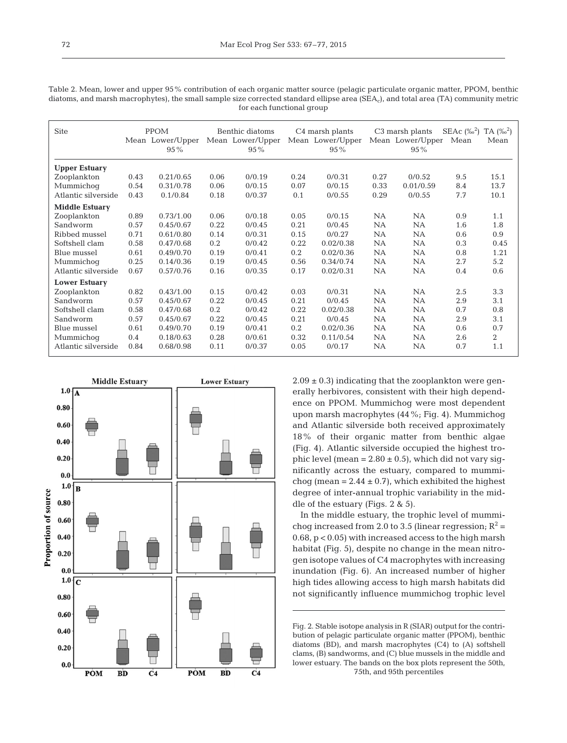| <b>Site</b>           | <b>PPOM</b> |                  | Benthic diatoms |                  | C <sub>4</sub> marsh plants |                  | C <sub>3</sub> marsh plants |                  | $SEAc (%^2)$ | $TA (\%^2)$ |
|-----------------------|-------------|------------------|-----------------|------------------|-----------------------------|------------------|-----------------------------|------------------|--------------|-------------|
|                       |             | Mean Lower/Upper |                 | Mean Lower/Upper |                             | Mean Lower/Upper |                             | Mean Lower/Upper | Mean         | Mean        |
|                       |             | $95\%$           |                 | $95\%$           |                             | $95\%$           |                             | $95\%$           |              |             |
|                       |             |                  |                 |                  |                             |                  |                             |                  |              |             |
| <b>Upper Estuary</b>  |             |                  |                 |                  |                             |                  |                             |                  |              |             |
| Zooplankton           | 0.43        | 0.21/0.65        | 0.06            | 0/0.19           | 0.24                        | 0/0.31           | 0.27                        | 0/0.52           | 9.5          | 15.1        |
| Mummichoq             | 0.54        | 0.31/0.78        | 0.06            | 0/0.15           | 0.07                        | 0/0.15           | 0.33                        | 0.01/0.59        | 8.4          | 13.7        |
| Atlantic silverside   | 0.43        | 0.1/0.84         | 0.18            | 0/0.37           | 0.1                         | 0/0.55           | 0.29                        | 0/0.55           | 7.7          | 10.1        |
| <b>Middle Estuary</b> |             |                  |                 |                  |                             |                  |                             |                  |              |             |
| Zooplankton           | 0.89        | 0.73/1.00        | 0.06            | 0/0.18           | 0.05                        | 0/0.15           | <b>NA</b>                   | NA               | 0.9          | 1.1         |
| Sandworm              | 0.57        | 0.45/0.67        | 0.22            | 0/0.45           | 0.21                        | 0/0.45           | NA.                         | NA               | 1.6          | 1.8         |
| Ribbed mussel         | 0.71        | 0.61/0.80        | 0.14            | 0/0.31           | 0.15                        | 0/0.27           | NA.                         | NA.              | 0.6          | 0.9         |
| Softshell clam        | 0.58        | 0.47/0.68        | 0.2             | 0/0.42           | 0.22                        | 0.02/0.38        | NA.                         | NA.              | 0.3          | 0.45        |
| Blue mussel           | 0.61        | 0.49/0.70        | 0.19            | 0/0.41           | 0.2                         | 0.02/0.36        | NA                          | NA               | 0.8          | 1.21        |
| Mummichoq             | 0.25        | 0.14/0.36        | 0.19            | 0/0.45           | 0.56                        | 0.34/0.74        | NA.                         | NA.              | 2.7          | 5.2         |
| Atlantic silverside   | 0.67        | 0.57/0.76        | 0.16            | 0/0.35           | 0.17                        | 0.02/0.31        | NA                          | <b>NA</b>        | 0.4          | 0.6         |
| <b>Lower Estuary</b>  |             |                  |                 |                  |                             |                  |                             |                  |              |             |
| Zooplankton           | 0.82        | 0.43/1.00        | 0.15            | 0/0.42           | 0.03                        | 0/0.31           | NA.                         | <b>NA</b>        | 2.5          | 3.3         |
| Sandworm              | 0.57        | 0.45/0.67        | 0.22            | 0/0.45           | 0.21                        | 0/0.45           | NA                          | NA               | 2.9          | 3.1         |
| Softshell clam        | 0.58        | 0.47/0.68        | 0.2             | 0/0.42           | 0.22                        | 0.02/0.38        | NA.                         | <b>NA</b>        | 0.7          | 0.8         |
| Sandworm              | 0.57        | 0.45/0.67        | 0.22            | 0/0.45           | 0.21                        | 0/0.45           | NA.                         | NA.              | 2.9          | 3.1         |
| Blue mussel           | 0.61        | 0.49/0.70        | 0.19            | 0/0.41           | 0.2                         | 0.02/0.36        | NA.                         | NA               | 0.6          | 0.7         |
| Mummichoq             | 0.4         | 0.18/0.63        | 0.28            | 0/0.61           | 0.32                        | 0.11/0.54        | NA.                         | NA.              | 2.6          | 2           |
| Atlantic silverside   | 0.84        | 0.68/0.98        | 0.11            | 0/0.37           | 0.05                        | 0/0.17           | NA.                         | <b>NA</b>        | 0.7          | 1.1         |





 $2.09 \pm 0.3$ ) indicating that the zooplankton were generally herbivores, consistent with their high dependence on PPOM. Mummichog were most dependent upon marsh macrophytes (44%; Fig. 4). Mummichog and Atlantic silverside both received approximately 18% of their organic matter from benthic algae (Fig. 4). Atlantic silverside occupied the highest tro phic level (mean =  $2.80 \pm 0.5$ ), which did not vary significantly across the estuary, compared to mummichog (mean =  $2.44 \pm 0.7$ ), which exhibited the highest degree of inter-annual trophic variability in the middle of the estuary (Figs. 2 & 5).

In the middle estuary, the trophic level of mummichog increased from 2.0 to 3.5 (linear regression;  $R^2$  = 0.68, p < 0.05) with increased access to the high marsh habitat (Fig. 5), despite no change in the mean nitrogen isotope values of C4 macrophytes with increasing inundation (Fig. 6). An increased number of higher high tides allowing access to high marsh habitats did not significantly influence mummichog trophic level

Fig. 2. Stable isotope analysis in R (SIAR) output for the contribution of pelagic particulate organic matter (PPOM), benthic diatoms (BD), and marsh macrophytes (C4) to (A) softshell clams, (B) sandworms, and (C) blue mussels in the middle and lower estuary. The bands on the box plots represent the 50th, 75th, and 95th percentiles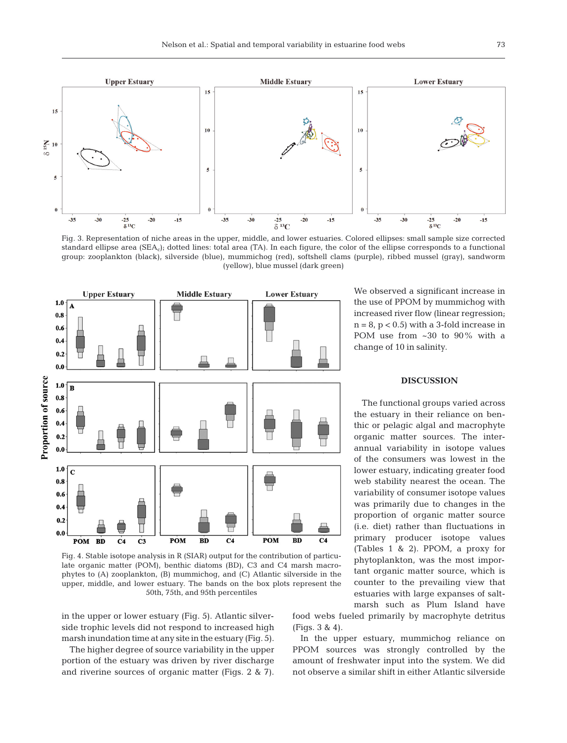

Fig. 3. Representation of niche areas in the upper, middle, and lower estuaries. Colored ellipses: small sample size corrected standard ellipse area (SEA<sub>c</sub>); dotted lines: total area (TA). In each figure, the color of the ellipse corresponds to a functional group: zooplankton (black), silverside (blue), mummichog (red), softshell clams (purple), ribbed mussel (gray), sandworm (yellow), blue mussel (dark green)



Fig. 4. Stable isotope analysis in R (SIAR) output for the contribution of particulate organic matter (POM), benthic diatoms (BD), C3 and C4 marsh macrophytes to (A) zooplankton, (B) mummichog, and (C) Atlantic silverside in the upper, middle, and lower estuary. The bands on the box plots represent the 50th, 75th, and 95th percentiles

in the upper or lower estuary (Fig. 5). Atlantic silverside trophic levels did not respond to increased high marsh inundation time at any site in the estuary (Fig. 5).

The higher degree of source variability in the upper portion of the estuary was driven by river discharge and riverine sources of organic matter (Figs. 2 & 7). We observed a significant increase in the use of PPOM by mummichog with increased river flow (linear regression;  $n = 8$ ,  $p < 0.5$ ) with a 3-fold increase in POM use from ~30 to 90% with a change of 10 in salinity.

## **DISCUSSION**

The functional groups varied across the estuary in their reliance on benthic or pelagic algal and macrophyte organic matter sources. The interannual variability in isotope values of the consumers was lowest in the lower estuary, indicating greater food web stability nearest the ocean. The variability of consumer isotope values was primarily due to changes in the proportion of organic matter source (i.e. diet) rather than fluctuations in primary producer isotope values (Tables 1 & 2). PPOM, a proxy for phytoplankton, was the most important organic matter source, which is counter to the prevailing view that estuaries with large expanses of saltmarsh such as Plum Island have

food webs fueled primarily by macrophyte detritus (Figs. 3 & 4).

In the upper estuary, mummichog reliance on PPOM sources was strongly controlled by the amount of freshwater input into the system. We did not observe a similar shift in either Atlantic silverside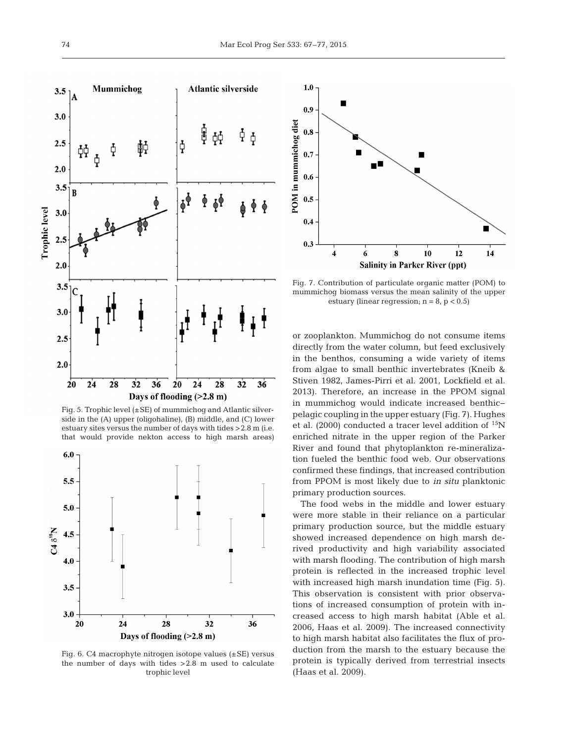

Fig. 5. Trophic level (±SE) of mummichog and Atlantic silverside in the (A) upper (oligohaline), (B) middle, and (C) lower estuary sites versus the number of days with tides >2.8 m (i.e. that would provide nekton access to high marsh areas)



Fig. 6. C4 macrophyte nitrogen isotope values (±SE) versus the number of days with tides >2.8 m used to calculate trophic level



Fig. 7. Contribution of particulate organic matter (POM) to mummichog biomass versus the mean salinity of the upper estuary (linear regression;  $n = 8$ ,  $p < 0.5$ )

or zooplankton. Mummichog do not consume items directly from the water column, but feed exclusively in the benthos, consuming a wide variety of items from algae to small benthic invertebrates (Kneib & Stiven 1982, James-Pirri et al. 2001, Lockfield et al. 2013). Therefore, an increase in the PPOM signal in mummichog would indicate increased benthic− pelagic coupling in the upper estuary (Fig. 7). Hughes et al. (2000) conducted a tracer level addition of  $^{15}N$ enriched nitrate in the upper region of the Parker River and found that phytoplankton re-mineralization fueled the benthic food web. Our observations confirmed these findings, that increased contribution from PPOM is most likely due to *in situ* planktonic primary production sources.

The food webs in the middle and lower estuary were more stable in their reliance on a particular primary production source, but the middle estuary showed increased dependence on high marsh derived productivity and high variability associated with marsh flooding. The contribution of high marsh protein is reflected in the increased trophic level with increased high marsh inundation time (Fig. 5). This observation is consistent with prior observations of increased consumption of protein with increased access to high marsh habitat (Able et al. 2006, Haas et al. 2009). The increased connectivity to high marsh habitat also facilitates the flux of production from the marsh to the estuary because the protein is typically derived from terrestrial insects (Haas et al. 2009).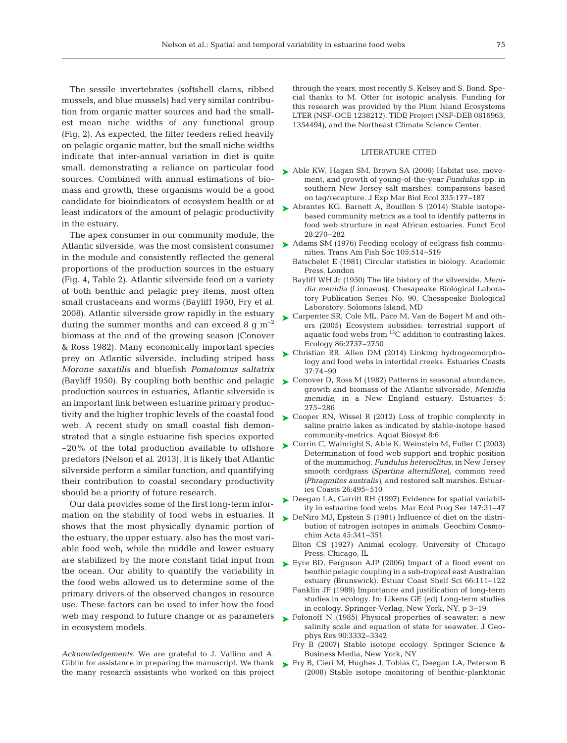The sessile invertebrates (softshell clams, ribbed mussels, and blue mussels) had very similar contribution from organic matter sources and had the smallest mean niche widths of any functional group (Fig. 2). As expected, the filter feeders relied heavily on pelagic organic matter, but the small niche widths indicate that inter-annual variation in diet is quite small, demonstrating a reliance on particular food sources. Combined with annual estimations of biomass and growth, these organisms would be a good candidate for bioindicators of ecosystem health or at least indicators of the amount of pelagic productivity in the estuary.

The apex consumer in our community module, the Atlantic silverside, was the most consistent consumer in the module and consistently reflected the general proportions of the production sources in the estuary (Fig. 4, Table 2). Atlantic silverside feed on a variety of both benthic and pelagic prey items, most often small crustaceans and worms (Bayliff 1950, Fry et al. 2008). Atlantic silverside grow rapidly in the estuary during the summer months and can exceed 8 g  $m^{-2}$ biomass at the end of the growing season (Conover & Ross 1982). Many economically important species prey on Atlantic silverside, including striped bass *Morone saxatilis* and bluefish *Pomatomus saltatrix* production sources in estuaries, Atlantic silverside is an important link between estuarine primary productivity and the higher trophic levels of the coastal food web. A recent study on small coastal fish demonstrated that a single estuarine fish species exported  $\sim$ 20% of the total production available to offshore predators (Nelson et al. 2013). It is likely that Atlantic silverside perform a similar function, and quantifying their contribution to coastal secondary productivity should be a priority of future research.

Our data provides some of the first long-term information on the stability of food webs in estuaries. It shows that the most physically dynamic portion of the estuary, the upper estuary, also has the most variable food web, while the middle and lower estuary are stabilized by the more constant tidal input from the ocean. Our ability to quantify the variability in the food webs allowed us to determine some of the primary drivers of the observed changes in resource use. These factors can be used to infer how the food web may respond to future change or as parameters in ecosystem models.

*Acknowledgements.* We are grateful to J. Vallino and A. Giblin for assistance in preparing the manuscript. We thank the many research assistants who worked on this project

through the years, most recently S. Kelsey and S. Bond. Special thanks to M. Otter for isotopic analysis. Funding for this research was provided by the Plum Island Ecosystems LTER (NSF-OCE 1238212), TIDE Project (NSF-DEB 0816963, 1354494), and the Northeast Climate Science Center.

### LITERATURE CITED

- [Able KW, Hagan SM, Brown SA \(2006\) Habitat use, move-](http://dx.doi.org/10.1016/j.jembe.2006.03.004)➤ ment, and growth of young-of-the-year *Fundulus* spp. in southern New Jersey salt marshes: comparisons based on tag/recapture. J Exp Mar Biol Ecol 335: 177−187
- ▶ [Abrantes KG, Barnett A, Bouillon S \(2014\) Stable isotope](http://dx.doi.org/10.1111/1365-2435.12155)based community metrics as a tool to identify patterns in food web structure in east African estuaries. Funct Ecol 28: 270−282
- ► [Adams SM \(1976\) Feeding ecology of eelgrass fish commu](http://dx.doi.org/10.1641/0006-3568(2001)051[0633%3ATICAMO]2.0.CO%3B2)nities. Trans Am Fish Soc 105:514-519
	- Batschelet E (1981) Circular statistics in biology. Academic Press, London
	- Bayliff WH Jr (1950) The life history of the silverside, *Menidia menidia* (Linnaeus). Chesapeake Biological Laboratory Publication Series No. 90, Chesapeake Biological Laboratory, Solomons Island, MD
- [Carpenter SR, Cole ML, Pace M, Van de Bogert M and oth-](http://dx.doi.org/10.1890/04-1282)➤ ers (2005) Ecosystem subsidies: terrestrial support of aquatic food webs from 13C addition to contrasting lakes. Ecology 86: 2737−2750
- ▶ Christian RR, Allen DM (2014) Linking hydrogeomorphology and food webs in intertidal creeks. Estuaries Coasts 37: 74−90
- (Bayliff 1950). By coupling both benthic and pelagic [Conover D, Ross M \(1982\) Patterns in seasonal abundance,](http://dx.doi.org/10.2307/1351750) ➤ growth and biomass of the Atlantic silverside, *Menidia menidia*, in a New England estuary. Estuaries 5: 275−286
	- ► [Cooper RN, Wissel B \(2012\) Loss of trophic complexity in](http://dx.doi.org/10.1186/2046-9063-8-6) saline prairie lakes as indicated by stable-isotope based community-metrics. Aquat Biosyst 8:6
	- [Currin C, Wainright S, Able K, Weinstein M, Fuller C \(2003\)](http://dx.doi.org/10.1139/f93-009) ➤ Determination of food web support and trophic position of the mummichog, *Fundulus heteroclitus*, in New Jersey smooth cordgrass *(Spartina alterniflora)*, common reed *(Phragmites australis)*, and restored salt marshes. Estuaries Coasts 26:495-510
	- ► Deegan LA, Garritt RH (1997) Evidence for spatial variabil ity in estuarine food webs. Mar Ecol Prog Ser 147: 31−47
	- ▶ [DeNiro MJ, Epstein S \(1981\) Influence of diet on the distri](http://dx.doi.org/10.1086/285270)bution of nitrogen isotopes in animals. Geochim Cosmochim Acta 45: 341−351
		- Elton CS (1927) Animal ecology. University of Chicago Press, Chicago, IL
	- ► [Eyre BD, Ferguson AJP \(2006\) Impact of a flood event on](http://dx.doi.org/10.1016/j.jembe.2007.12.003) benthic pelagic coupling in a sub-tropical east Australian estuary (Brunswick). Estuar Coast Shelf Sci 66:111−122
		- Fanklin JF (1989) Importance and justification of long-term studies in ecology. In: Likens GE (ed) Long-term studies in ecology. Springer-Verlag, New York, NY, p 3−19
	- ► Fofonoff N (1985) Physical properties of seawater: a new salinity scale and equation of state for seawater. J Geophys Res 90: 3332−3342
		- Fry B (2007) Stable isotope ecology. Springer Science & Business Media, New York, NY
	- ► [Fry B, Cieri M, Hughes J, Tobias C, Deegan LA, Peterson B](http://dx.doi.org/10.3354/meps07644) (2008) Stable isotope monitoring of benthic-planktonic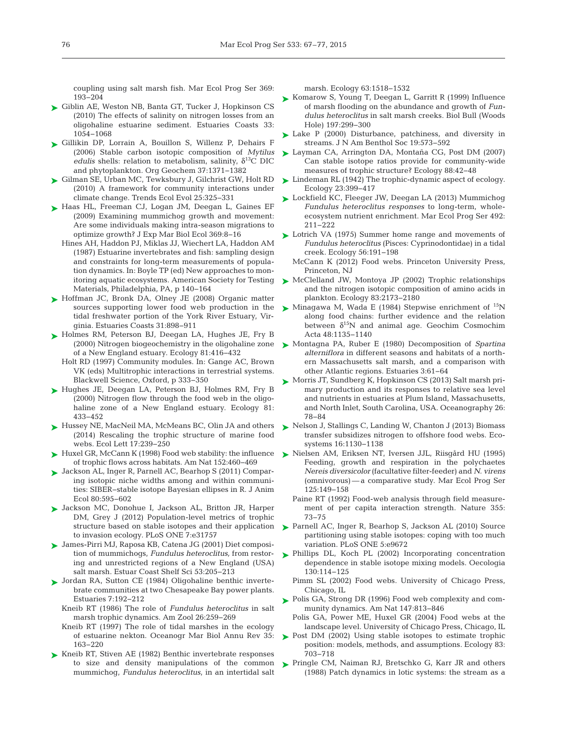coupling using salt marsh fish. Mar Ecol Prog Ser 369: 193−204

- [Giblin AE, Weston NB, Banta GT, Tucker J, Hopkinson CS](http://dx.doi.org/10.1007/s12237-010-9280-7) ➤ (2010) The effects of salinity on nitrogen losses from an oligo haline estuarine sediment. Estuaries Coasts 33: 1054−1068
- [Gillikin DP, Lorrain A, Bouillon S, Willenz P, Dehairs F](http://dx.doi.org/10.1016/j.orggeochem.2006.03.008) ➤ (2006) Stable carbon isotopic composition of *Mytilus edulis* shells: relation to metabolism, salinity,  $\delta^{13}C$  DIC and phytoplankton. Org Geochem 37: 1371−1382
- [Gilman SE, Urban MC, Tewksbury J, Gilchrist GW, Holt RD](http://dx.doi.org/10.1016/j.tree.2010.03.002) ➤ (2010) A framework for community interactions under climate change. Trends Ecol Evol 25: 325−331
- ▶ [Haas HL, Freeman CJ, Logan JM, Deegan L, Gaines EF](http://dx.doi.org/10.1016/S0022-1694(03)00155-0) (2009) Examining mummichog growth and movement: Are some individuals making intra-season migrations to optimize growth? J Exp Mar Biol Ecol 369:8-16
	- Hines AH, Haddon PJ, Miklas JJ, Wiechert LA, Haddon AM  $(1987)$  Estuarine invertebrates and fish: sampling design and constraints for long-term measurements of population dynamics. In: Boyle TP (ed) New approaches to monitoring aquatic ecosystems. American Society for Testing Materials, Philadelphia, PA, p 140−164
- ► [Hoffman JC, Bronk DA, Olney JE \(2008\) Organic matter](http://dx.doi.org/10.1007/s12237-008-9073-4) sources supporting lower food web production in the tidal freshwater portion of the York River Estuary, Virginia. Estuaries Coasts 31: 898−911
- ▶ [Holmes RM, Peterson BJ, Deegan LA, Hughes JE, Fry B](http://dx.doi.org/10.1890/0012-9658(2000)081[0416%3ANBITOZ]2.0.CO%3B2) (2000) Nitrogen biogeochemistry in the oligohaline zone of a New England estuary. Ecology 81:416-432
	- Holt RD (1997) Community modules. In:Gange AC, Brown VK (eds) Multitrophic interactions in terrestrial systems. Blackwell Science, Oxford, p 333−350
- ▶ [Hughes JE, Deegan LA, Peterson BJ, Holmes RM, Fry B](http://dx.doi.org/10.1890/0012-9658(2000)081[0433%3ANFTTFW]2.0.CO%3B2) (2000) Nitrogen flow through the food web in the oligohaline zone of a New England estuary. Ecology 81: 433−452
- ► [Hussey NE, MacNeil MA, McMeans BC, Olin JA and others](http://dx.doi.org/10.1111/ele.12226) (2014) Rescaling the trophic structure of marine food webs. Ecol Lett 17:239-250
- ► Huxel GR, McCann K (1998) Food web stability: the influence of trophic flows across habitats. Am Nat 152:460-469
- [Jackson AL, Inger R, Parnell AC, Bearhop S \(2011\) Compar-](http://dx.doi.org/10.1111/j.1365-2656.2011.01806.x)➤ ing isotopic niche widths among and within communities:SIBER−stable isotope Bayesian ellipses in R. J Anim Ecol 80: 595−602
- [Jackson MC, Donohue I, Jackson AL, Britton JR, Harper](http://dx.doi.org/10.1371/journal.pone.0031757) ➤ DM, Grey J (2012) Population-level metrics of trophic structure based on stable isotopes and their application to invasion ecology. PLoS ONE 7:e31757
- [James-Pirri MJ, Raposa KB, Catena JG \(2001\) Diet composi-](http://dx.doi.org/10.1006/ecss.2001.0807)➤ tion of mummichogs, *Fundulus heteroclitus,* from restoring and unrestricted regions of a New England (USA) salt marsh. Estuar Coast Shelf Sci 53: 205−213
- ▶ [Jordan RA, Sutton CE \(1984\) Oligohaline benthic inverte](http://dx.doi.org/10.1029/2010GL045489)brate communities at two Chesapeake Bay power plants. Estuaries 7: 192−212
	- Kneib RT (1986) The role of *Fundulus heteroclitus* in salt marsh trophic dynamics. Am Zool 26:259-269
	- Kneib RT (1997) The role of tidal marshes in the ecology of estuarine nekton. Oceanogr Mar Biol Annu Rev 35: 163−220
- ► [Kneib RT, Stiven AE \(1982\) Benthic invertebrate responses](http://dx.doi.org/10.2307/1938877) to size and density manipulations of the common mummichog, *Fundulus heteroclitus*, in an intertidal salt

marsh. Ecology 63: 1518−1532

- ► [Komarow S, Young T, Deegan L, Garritt R \(1999\) Influence](http://dx.doi.org/10.2307/1542663) of marsh flooding on the abundance and growth of *Fundulus heteroclitus* in salt marsh creeks. Biol Bull (Woods Hole) 197:299-300
- ► [Lake P \(2000\) Disturbance, patchiness, and diversity in](http://dx.doi.org/10.2307/1468118) streams. J N Am Benthol Soc 19:573-592
- [Layman CA, Arrington DA, Montaña CG, Post DM \(2007\)](http://dx.doi.org/10.1890/0012-9658(2007)88[42%3ACSIRPF]2.0.CO%3B2) ➤ Can stable isotope ratios provide for community-wide measures of trophic structure? Ecology 88:42-48
- [Lindeman RL \(1942\) The trophic-dynamic aspect of ecology.](http://dx.doi.org/10.2307/1930126) ➤ Ecology 23: 399−417
- [Lockfield KC, Fleeger JW, Deegan LA \(2013\) Mummichog](http://dx.doi.org/10.3354/meps10495) ➤ *Fundulus heteroclitus responses* to long-term, wholeecosystem nutrient enrichment. Mar Ecol Prog Ser 492: 211−222
- ► [Lotrich VA \(1975\) Summer home range and movements of](http://dx.doi.org/10.2307/1935311) *Fundulus heteroclitus* (Pisces:Cyprinodontidae) in a tidal creek. Ecology 56: 191−198
	- McCann K (2012) Food webs. Princeton University Press, Princeton, NJ
- [McClelland JW, Montoya JP \(2002\) Trophic relationships](http://dx.doi.org/10.1890/0012-9658(2002)083[2173%3ATRATNI]2.0.CO%3B2) ➤ and the nitrogen isotopic composition of amino acids in plankton. Ecology 83:2173-2180
- [Minagawa M, Wada E \(1984\) Stepwise enrichment of](http://dx.doi.org/10.3354/meps246039)  $^{15}N$ along food chains: further evidence and the relation between  $\delta^{15}N$  and animal age. Geochim Cosmochim Acta 48: 1135−1140
- [Montagna PA, Ruber E \(1980\) Decomposition of](http://dx.doi.org/10.1890/0012-9658(2002)083[2869%3AROCWTR]2.0.CO%3B2) *Spartina* ➤ *alterniflora* in different seasons and habitats of a northern Massachusetts salt marsh, and a comparison with other Atlantic regions. Estuaries 3:61-64
- [Morris JT, Sundberg K, Hopkinson CS \(2013\) Salt marsh pri-](http://dx.doi.org/10.5670/oceanog.2013.48)➤ mary production and its responses to relative sea level and nutrients in estuaries at Plum Island, Massachusetts, and North Inlet, South Carolina, USA. Oceanography 26: 78−84
- ► [Nelson J, Stallings C, Landing W, Chanton J \(2013\) Biomass](http://dx.doi.org/10.1007/s10021-013-9672-1) transfer subsidizes nitrogen to offshore food webs. Ecosystems 16:1130-1138
- [Nielsen AM, Eriksen NT, Iversen JJL, Riisgård HU \(1995\)](http://dx.doi.org/10.3354/meps125149) ➤ Feeding, growth and respiration in the polychaetes *Nereis diversicolor* (facultative filter-feeder) and *N. virens* (omnivorous) — a comparative study. Mar Ecol Prog Ser 125: 149−158
	- Paine RT (1992) Food-web analysis through field measurement of per capita interaction strength. Nature 355: 73−75
- ▶ [Parnell AC, Inger R, Bearhop S, Jackson AL \(2010\) Source](http://dx.doi.org/10.1146/annurev.es.18.110187.001453) partitioning using stable isotopes: coping with too much variation. PLoS ONE 5:e9672
- [Phillips DL, Koch PL \(2002\) Incorporating concentration](http://dx.doi.org/10.1007/s004420100786) ➤ dependence in stable isotope mixing models. Oecologia 130: 114−125
	- Pimm SL (2002) Food webs. University of Chicago Press, Chicago, IL
- ▶ [Polis GA, Strong DR \(1996\) Food web complexity and com](http://dx.doi.org/10.1086/285880)munity dynamics. Am Nat 147:813-846
	- Polis GA, Power ME, Huxel GR (2004) Food webs at the landscape level. University of Chicago Press, Chicago, IL
- ▶ [Post DM \(2002\) Using stable isotopes to estimate trophic](http://dx.doi.org/10.1890/0012-9658(2002)083[0703%3AUSITET]2.0.CO%3B2) position: models, methods, and assumptions. Ecology 83: 703−718
- ▶ [Pringle CM, Naiman RJ, Bretschko G, Karr JR and others](http://dx.doi.org/10.1007/BF02691304)  $(1988)$  Patch dynamics in lotic systems: the stream as a